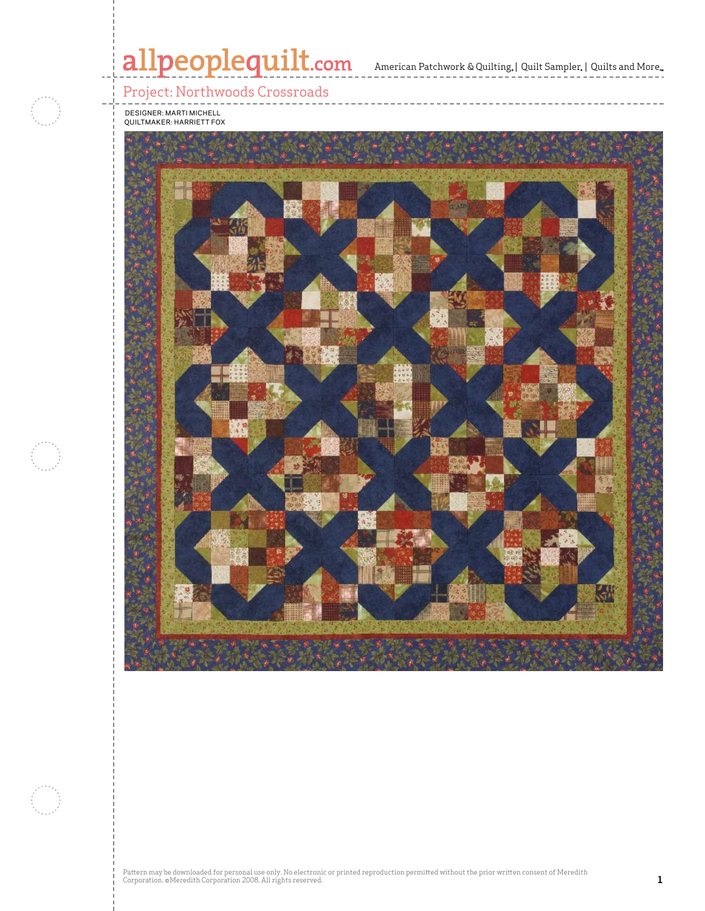# allpeoplequilt.com<br>american Patchwork & Quilting, | Quilt Sampler, | Quilts and More..

## Project: Northwoods Crossroads



Designer: Marti Michell Quiltmaker: Harriett Fox

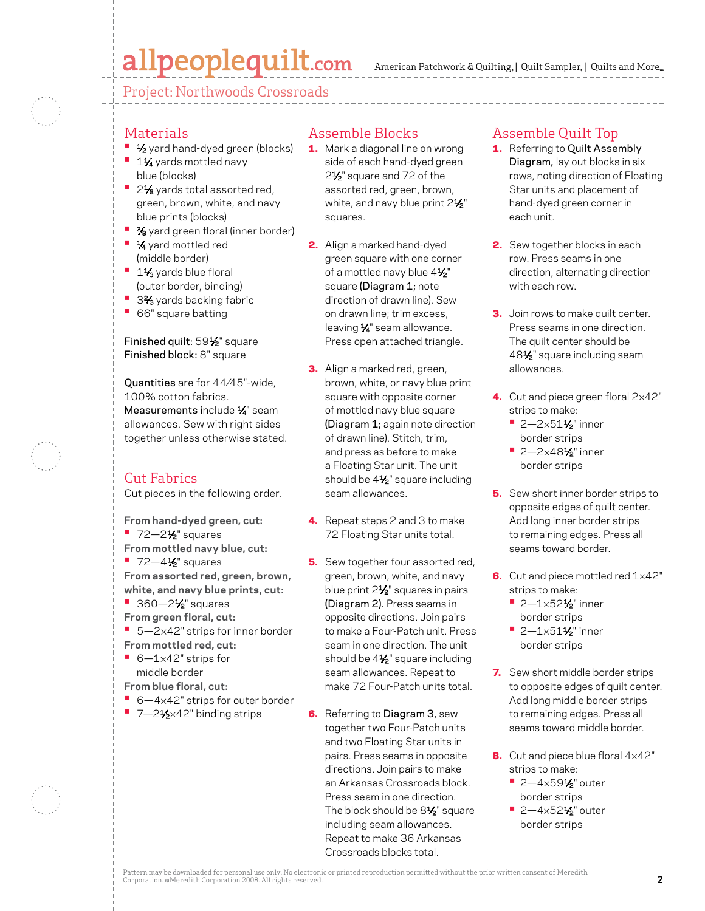# allpeoplequilt.com

American Patchwork & Quilting, | Quilt Sampler, | Quilts and More...

Project: Northwoods Crossroads

### Materials

- **1⁄2** yard hand-dyed green (blocks)
- **<sup>■</sup> 1½** yards mottled navy blue (blocks)
- 2<sup>1</sup>⁄<sub>8</sub> yards total assorted red, green, brown, white, and navy blue prints (blocks)
- **3/8** yard green floral (inner border)
- **•** 1⁄4 yard mottled red (middle border)
- **<sup>■</sup>** 1½ yards blue floral (outer border, binding)
- 3<sup>2</sup>⁄<sub>3</sub> yards backing fabric
- **•**  66" square batting

Finished quilt: 591/2" square Finished block: 8" square

Quantities are for 44⁄45"-wide, 100% cotton fabrics. Measurements include 1/4" seam allowances. Sew with right sides together unless otherwise stated.

## Cut Fabrics

Cut pieces in the following order.

- **From hand-dyed green, cut:**
- **•** 72-2<sup>1</sup>/<sub>2</sub>" squares
- **From mottled navy blue, cut:**
- **•** 72-4<sup>1</sup>/<sub>2</sub>" squares **From assorted red, green, brown, white, and navy blue prints, cut:**
- **•** 360–2½" squares
- **From green floral, cut:**
- 5-2×42" strips for inner border **From mottled red, cut:**
- **•**  6—1×42" strips for middle border
- **From blue floral, cut:**
- 6-4×42" strips for outer border
- 7-21⁄2×42" binding strips

# Assemble Blocks

- 1. Mark a diagonal line on wrong side of each hand-dyed green 2<sup>1</sup>⁄<sub>2</sub>" square and 72 of the assorted red, green, brown, white, and navy blue print  $2\frac{1}{2}$ " squares.
- 2. Align a marked hand-dyed green square with one corner of a mottled navy blue 41/2" square (Diagram 1; note direction of drawn line). Sew on drawn line; trim excess, leaving  $\frac{1}{4}$ " seam allowance. Press open attached triangle.
- **3.** Align a marked red, green, brown, white, or navy blue print square with opposite corner of mottled navy blue square (Diagram 1; again note direction of drawn line). Stitch, trim, and press as before to make a Floating Star unit. The unit should be 4<sup>1/2"</sup> square including seam allowances.
- 4. Repeat steps 2 and 3 to make 72 Floating Star units total.
- **5.** Sew together four assorted red, green, brown, white, and navy blue print 21⁄2" squares in pairs (Diagram 2). Press seams in opposite directions. Join pairs to make a Four-Patch unit. Press seam in one direction. The unit should be 4<sup>1/2</sup> square including seam allowances. Repeat to make 72 Four-Patch units total.
- 6. Referring to Diagram 3, sew together two Four-Patch units and two Floating Star units in pairs. Press seams in opposite directions. Join pairs to make an Arkansas Crossroads block. Press seam in one direction. The block should be 8<sup>1/2</sup> square including seam allowances. Repeat to make 36 Arkansas Crossroads blocks total.

## Assemble Quilt Top

- 1. Referring to Quilt Assembly Diagram, lay out blocks in six rows, noting direction of Floating Star units and placement of hand-dyed green corner in each unit.
- 2. Sew together blocks in each row. Press seams in one direction, alternating direction with each row.
- **3.** Join rows to make quilt center. Press seams in one direction. The quilt center should be 481⁄2" square including seam allowances.
- 4. Cut and piece green floral  $2\times42"$ strips to make:
	- **•** 2-2×51½" inner border strips
	- **•** 2—2×481⁄2" inner border strips
- 5. Sew short inner border strips to opposite edges of quilt center. Add long inner border strips to remaining edges. Press all seams toward border.
- 6. Cut and piece mottled red  $1\times42$ " strips to make:
	- **•** 2—1×521⁄2" inner border strips
	- **•** 2—1×511⁄2" inner border strips
- **7.** Sew short middle border strips to opposite edges of quilt center. Add long middle border strips to remaining edges. Press all seams toward middle border.
- 8. Cut and piece blue floral  $4\times42"$ strips to make:
	- **•** 2—4×591⁄2" outer border strips
	- 2-4×52½" outer border strips